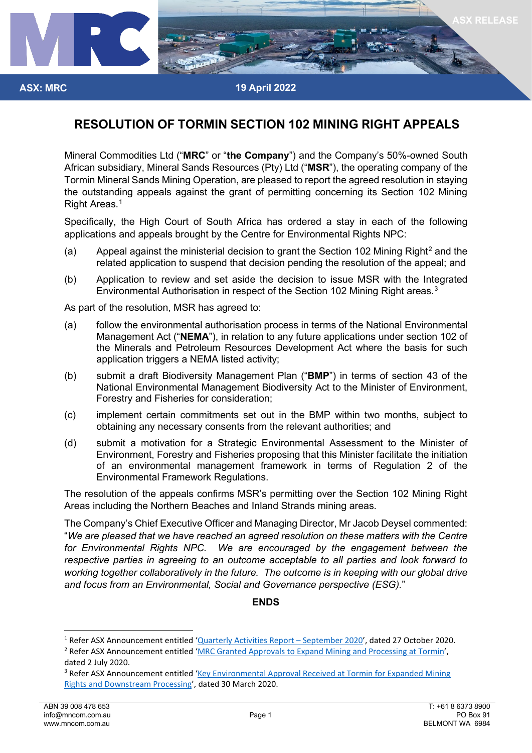

## **RESOLUTION OF TORMIN SECTION 102 MINING RIGHT APPEALS**

Mineral Commodities Ltd ("**MRC**" or "**the Company**") and the Company's 50%-owned South African subsidiary, Mineral Sands Resources (Pty) Ltd ("**MSR**"), the operating company of the Tormin Mineral Sands Mining Operation, are pleased to report the agreed resolution in staying the outstanding appeals against the grant of permitting concerning its Section 102 Mining Right Areas.<sup>[1](#page-0-0)</sup>

Specifically, the High Court of South Africa has ordered a stay in each of the following applications and appeals brought by the Centre for Environmental Rights NPC:

- (a) Appeal against the ministerial decision to grant the Section 10[2](#page-0-1) Mining Right<sup>2</sup> and the related application to suspend that decision pending the resolution of the appeal; and
- (b) Application to review and set aside the decision to issue MSR with the Integrated Environmental Authorisation in respect of the Section 102 Mining Right areas.<sup>[3](#page-0-2)</sup>

As part of the resolution, MSR has agreed to:

- (a) follow the environmental authorisation process in terms of the National Environmental Management Act ("**NEMA**"), in relation to any future applications under section 102 of the Minerals and Petroleum Resources Development Act where the basis for such application triggers a NEMA listed activity;
- (b) submit a draft Biodiversity Management Plan ("**BMP**") in terms of section 43 of the National Environmental Management Biodiversity Act to the Minister of Environment, Forestry and Fisheries for consideration;
- (c) implement certain commitments set out in the BMP within two months, subject to obtaining any necessary consents from the relevant authorities; and
- (d) submit a motivation for a Strategic Environmental Assessment to the Minister of Environment, Forestry and Fisheries proposing that this Minister facilitate the initiation of an environmental management framework in terms of Regulation 2 of the Environmental Framework Regulations.

The resolution of the appeals confirms MSR's permitting over the Section 102 Mining Right Areas including the Northern Beaches and Inland Strands mining areas.

The Company's Chief Executive Officer and Managing Director, Mr Jacob Deysel commented: "*We are pleased that we have reached an agreed resolution on these matters with the Centre*  for Environmental Rights NPC. We are encouraged by the engagement between the *respective parties in agreeing to an outcome acceptable to all parties and look forward to working together collaboratively in the future. The outcome is in keeping with our global drive and focus from an Environmental, Social and Governance perspective (ESG).*"

## **ENDS**

**ASX: MRC**

<span id="page-0-1"></span><span id="page-0-0"></span><sup>&</sup>lt;sup>1</sup> Refer ASX Announcement entitled 'Quarterly Activities Report – [September 2020',](https://www.mineralcommodities.com/wp-content/uploads/2020/10/2132493.pdf) dated 27 October 2020.<br><sup>2</sup> Refer ASX Announcement entitled ['MRC Granted Approvals to Expand Mining and Processing at Tormin',](https://www.mineralcommodities.com/wp-content/uploads/2020/10/02-July-2020-MRC-Granted-Approvals-To-Expand-Mining-And-Processing.pdf) dated 2 July 2020.

<span id="page-0-2"></span><sup>&</sup>lt;sup>3</sup> Refer ASX Announcement entitled 'Key Environmental Approval Received at Tormin for Expanded Mining [Rights and Downstream Processing'](https://www.mineralcommodities.com/wp-content/uploads/2020/10/30-March-2020-Key-Environmental-Approvals-Received-At-Tormin.pdf), dated 30 March 2020.